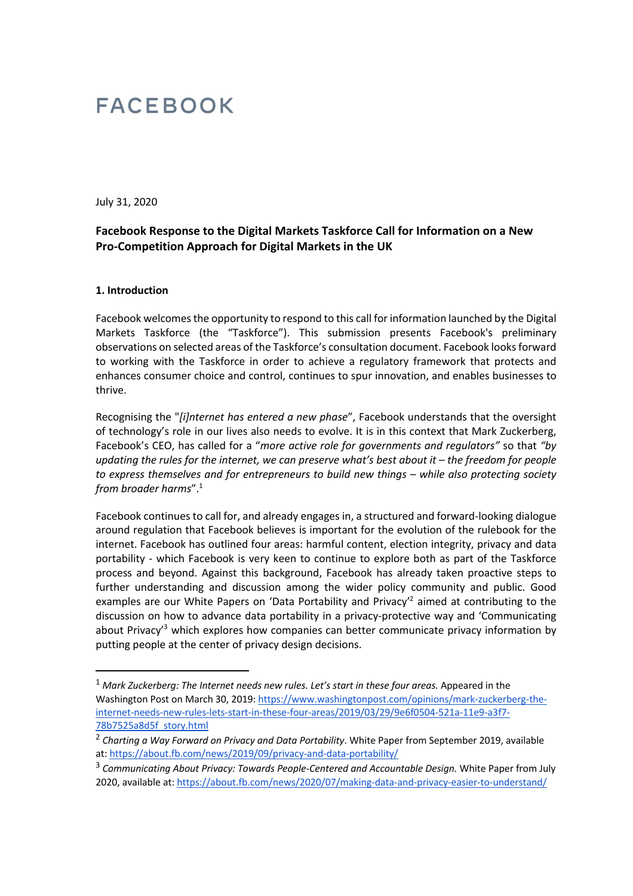# **FACEBOOK**

July 31, 2020

# **Facebook Response to the Digital Markets Taskforce Call for Information on a New Pro-Competition Approach for Digital Markets in the UK**

#### **1. Introduction**

Facebook welcomes the opportunity to respond to this call for information launched by the Digital Markets Taskforce (the "Taskforce"). This submission presents Facebook's preliminary observations on selected areas of the Taskforce's consultation document. Facebook looks forward to working with the Taskforce in order to achieve a regulatory framework that protects and enhances consumer choice and control, continues to spur innovation, and enables businesses to thrive.

Recognising the "*[i]nternet has entered a new phase*", Facebook understands that the oversight of technology's role in our lives also needs to evolve. It is in this context that Mark Zuckerberg, Facebook's CEO, has called for a "*more active role for governments and regulators"* so that *"by updating the rules for the internet, we can preserve what's best about it – the freedom for people to express themselves and for entrepreneurs to build new things – while also protecting society from broader harms*".<sup>1</sup>

Facebook continues to call for, and already engages in, a structured and forward-looking dialogue around regulation that Facebook believes is important for the evolution of the rulebook for the internet. Facebook has outlined four areas: harmful content, election integrity, privacy and data portability - which Facebook is very keen to continue to explore both as part of the Taskforce process and beyond. Against this background, Facebook has already taken proactive steps to further understanding and discussion among the wider policy community and public. Good examples are our White Papers on 'Data Portability and Privacy'<sup>2</sup> aimed at contributing to the discussion on how to advance data portability in a privacy-protective way and 'Communicating about Privacy<sup>3</sup> which explores how companies can better communicate privacy information by putting people at the center of privacy design decisions.

<sup>&</sup>lt;sup>1</sup> Mark Zuckerberg: The Internet needs new rules. Let's start in these four areas. Appeared in the Washington Post on March 30, 2019: https://www.washingtonpost.com/opinions/mark-zuckerberg-theinternet-needs-new-rules-lets-start-in-these-four-areas/2019/03/29/9e6f0504-521a-11e9-a3f7- 78b7525a8d5f\_story.html

<sup>2</sup> *Charting a Way Forward on Privacy and Data Portability*. White Paper from September 2019, available at: https://about.fb.com/news/2019/09/privacy-and-data-portability/

<sup>&</sup>lt;sup>3</sup> Communicating About Privacy: Towards People-Centered and Accountable Design. White Paper from July 2020, available at: https://about.fb.com/news/2020/07/making-data-and-privacy-easier-to-understand/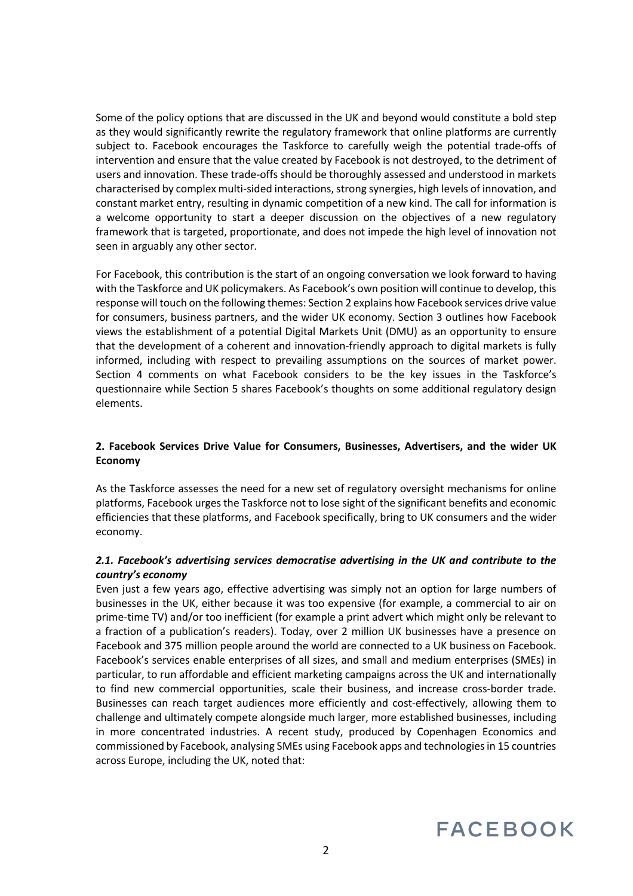Some of the policy options that are discussed in the UK and beyond would constitute a bold step as they would significantly rewrite the regulatory framework that online platforms are currently subject to. Facebook encourages the Taskforce to carefully weigh the potential trade-offs of intervention and ensure that the value created by Facebook is not destroyed, to the detriment of users and innovation. These trade-offs should be thoroughly assessed and understood in markets characterised by complex multi-sided interactions, strong synergies, high levels of innovation, and constant market entry, resulting in dynamic competition of a new kind. The call for information is a welcome opportunity to start a deeper discussion on the objectives of a new regulatory framework that is targeted, proportionate, and does not impede the high level of innovation not seen in arguably any other sector.

For Facebook, this contribution is the start of an ongoing conversation we look forward to having with the Taskforce and UK policymakers. As Facebook's own position will continue to develop, this response will touch on the following themes: Section 2 explains how Facebook services drive value for consumers, business partners, and the wider UK economy. Section 3 outlines how Facebook views the establishment of a potential Digital Markets Unit (DMU) as an opportunity to ensure that the development of a coherent and innovation-friendly approach to digital markets is fully informed, including with respect to prevailing assumptions on the sources of market power. Section 4 comments on what Facebook considers to be the key issues in the Taskforce's questionnaire while Section 5 shares Facebook's thoughts on some additional regulatory design elements.

# **2. Facebook Services Drive Value for Consumers, Businesses, Advertisers, and the wider UK Economy**

As the Taskforce assesses the need for a new set of regulatory oversight mechanisms for online platforms, Facebook urges the Taskforce not to lose sight of the significant benefits and economic efficiencies that these platforms, and Facebook specifically, bring to UK consumers and the wider economy.

# *2.1. Facebook's advertising services democratise advertising in the UK and contribute to the country's economy*

Even just a few years ago, effective advertising was simply not an option for large numbers of businesses in the UK, either because it was too expensive (for example, a commercial to air on prime-time TV) and/or too inefficient (for example a print advert which might only be relevant to a fraction of a publication's readers). Today, over 2 million UK businesses have a presence on Facebook and 375 million people around the world are connected to a UK business on Facebook. Facebook's services enable enterprises of all sizes, and small and medium enterprises (SMEs) in particular, to run affordable and efficient marketing campaigns across the UK and internationally to find new commercial opportunities, scale their business, and increase cross-border trade. Businesses can reach target audiences more efficiently and cost-effectively, allowing them to challenge and ultimately compete alongside much larger, more established businesses, including in more concentrated industries. A recent study, produced by Copenhagen Economics and commissioned by Facebook, analysing SMEs using Facebook apps and technologies in 15 countries across Europe, including the UK, noted that:

# **FACEBOOK**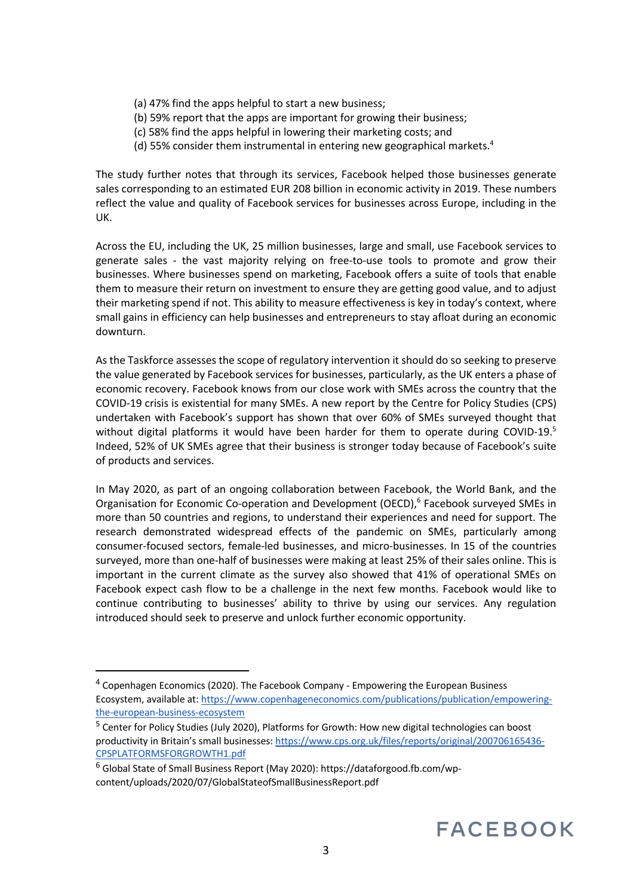- (a) 47% find the apps helpful to start a new business;
- (b) 59% report that the apps are important for growing their business;
- (c) 58% find the apps helpful in lowering their marketing costs; and
- (d) 55% consider them instrumental in entering new geographical markets.<sup>4</sup>

The study further notes that through its services, Facebook helped those businesses generate sales corresponding to an estimated EUR 208 billion in economic activity in 2019. These numbers reflect the value and quality of Facebook services for businesses across Europe, including in the UK.

Across the EU, including the UK, 25 million businesses, large and small, use Facebook services to generate sales - the vast majority relying on free-to-use tools to promote and grow their businesses. Where businesses spend on marketing, Facebook offers a suite of tools that enable them to measure their return on investment to ensure they are getting good value, and to adjust their marketing spend if not. This ability to measure effectiveness is key in today's context, where small gains in efficiency can help businesses and entrepreneurs to stay afloat during an economic downturn.

As the Taskforce assesses the scope of regulatory intervention it should do so seeking to preserve the value generated by Facebook services for businesses, particularly, as the UK enters a phase of economic recovery. Facebook knows from our close work with SMEs across the country that the COVID-19 crisis is existential for many SMEs. A new report by the Centre for Policy Studies (CPS) undertaken with Facebook's support has shown that over 60% of SMEs surveyed thought that without digital platforms it would have been harder for them to operate during COVID-19. $5$ Indeed, 52% of UK SMEs agree that their business is stronger today because of Facebook's suite of products and services.

In May 2020, as part of an ongoing collaboration between Facebook, the World Bank, and the Organisation for Economic Co-operation and Development (OECD),<sup>6</sup> Facebook surveyed SMEs in more than 50 countries and regions, to understand their experiences and need for support. The research demonstrated widespread effects of the pandemic on SMEs, particularly among consumer-focused sectors, female-led businesses, and micro-businesses. In 15 of the countries surveyed, more than one-half of businesses were making at least 25% of their sales online. This is important in the current climate as the survey also showed that 41% of operational SMEs on Facebook expect cash flow to be a challenge in the next few months. Facebook would like to continue contributing to businesses' ability to thrive by using our services. Any regulation introduced should seek to preserve and unlock further economic opportunity.

<sup>4</sup> Copenhagen Economics (2020). The Facebook Company - Empowering the European Business Ecosystem, available at: https://www.copenhageneconomics.com/publications/publication/empoweringthe-european-business-ecosystem

<sup>&</sup>lt;sup>5</sup> Center for Policy Studies (July 2020), Platforms for Growth: How new digital technologies can boost productivity in Britain's small businesses: https://www.cps.org.uk/files/reports/original/200706165436- CPSPLATFORMSFORGROWTH1.pdf

<sup>6</sup> Global State of Small Business Report (May 2020): https://dataforgood.fb.com/wpcontent/uploads/2020/07/GlobalStateofSmallBusinessReport.pdf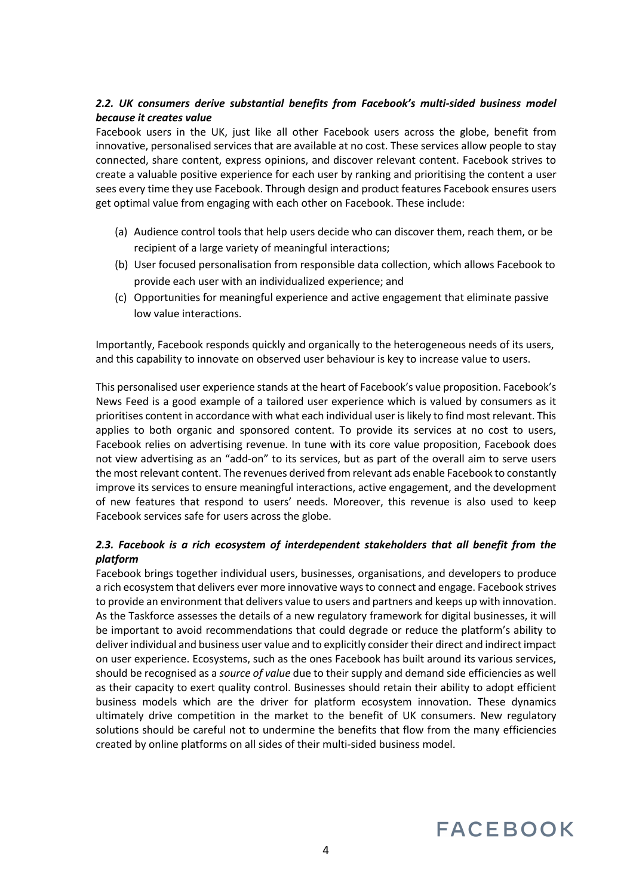# *2.2. UK consumers derive substantial benefits from Facebook's multi-sided business model because it creates value*

Facebook users in the UK, just like all other Facebook users across the globe, benefit from innovative, personalised services that are available at no cost. These services allow people to stay connected, share content, express opinions, and discover relevant content. Facebook strives to create a valuable positive experience for each user by ranking and prioritising the content a user sees every time they use Facebook. Through design and product features Facebook ensures users get optimal value from engaging with each other on Facebook. These include:

- (a) Audience control tools that help users decide who can discover them, reach them, or be recipient of a large variety of meaningful interactions;
- (b) User focused personalisation from responsible data collection, which allows Facebook to provide each user with an individualized experience; and
- (c) Opportunities for meaningful experience and active engagement that eliminate passive low value interactions.

Importantly, Facebook responds quickly and organically to the heterogeneous needs of its users, and this capability to innovate on observed user behaviour is key to increase value to users.

This personalised user experience stands at the heart of Facebook's value proposition. Facebook's News Feed is a good example of a tailored user experience which is valued by consumers as it prioritises content in accordance with what each individual user is likely to find most relevant. This applies to both organic and sponsored content. To provide its services at no cost to users, Facebook relies on advertising revenue. In tune with its core value proposition, Facebook does not view advertising as an "add-on" to its services, but as part of the overall aim to serve users the most relevant content. The revenues derived from relevant ads enable Facebook to constantly improve its services to ensure meaningful interactions, active engagement, and the development of new features that respond to users' needs. Moreover, this revenue is also used to keep Facebook services safe for users across the globe.

# *2.3. Facebook is a rich ecosystem of interdependent stakeholders that all benefit from the platform*

Facebook brings together individual users, businesses, organisations, and developers to produce a rich ecosystem that delivers ever more innovative ways to connect and engage. Facebook strives to provide an environment that delivers value to users and partners and keeps up with innovation. As the Taskforce assesses the details of a new regulatory framework for digital businesses, it will be important to avoid recommendations that could degrade or reduce the platform's ability to deliver individual and business user value and to explicitly consider their direct and indirect impact on user experience. Ecosystems, such as the ones Facebook has built around its various services, should be recognised as a *source of value* due to their supply and demand side efficiencies as well as their capacity to exert quality control. Businesses should retain their ability to adopt efficient business models which are the driver for platform ecosystem innovation. These dynamics ultimately drive competition in the market to the benefit of UK consumers. New regulatory solutions should be careful not to undermine the benefits that flow from the many efficiencies created by online platforms on all sides of their multi-sided business model.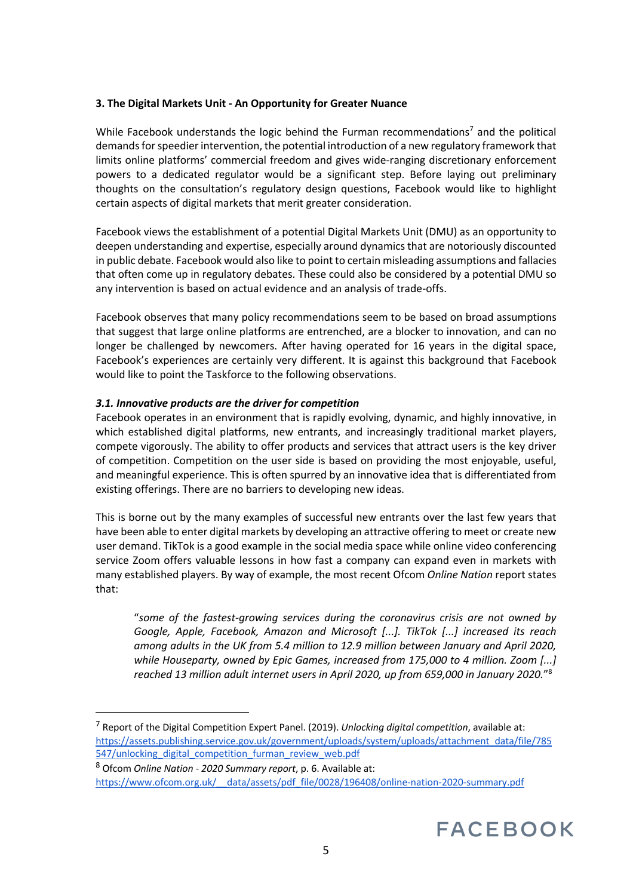## **3. The Digital Markets Unit - An Opportunity for Greater Nuance**

While Facebook understands the logic behind the Furman recommendations<sup>7</sup> and the political demands for speedier intervention, the potential introduction of a new regulatory framework that limits online platforms' commercial freedom and gives wide-ranging discretionary enforcement powers to a dedicated regulator would be a significant step. Before laying out preliminary thoughts on the consultation's regulatory design questions, Facebook would like to highlight certain aspects of digital markets that merit greater consideration.

Facebook views the establishment of a potential Digital Markets Unit (DMU) as an opportunity to deepen understanding and expertise, especially around dynamics that are notoriously discounted in public debate. Facebook would also like to point to certain misleading assumptions and fallacies that often come up in regulatory debates. These could also be considered by a potential DMU so any intervention is based on actual evidence and an analysis of trade-offs.

Facebook observes that many policy recommendations seem to be based on broad assumptions that suggest that large online platforms are entrenched, are a blocker to innovation, and can no longer be challenged by newcomers. After having operated for 16 years in the digital space, Facebook's experiences are certainly very different. It is against this background that Facebook would like to point the Taskforce to the following observations.

## *3.1. Innovative products are the driver for competition*

Facebook operates in an environment that is rapidly evolving, dynamic, and highly innovative, in which established digital platforms, new entrants, and increasingly traditional market players, compete vigorously. The ability to offer products and services that attract users is the key driver of competition. Competition on the user side is based on providing the most enjoyable, useful, and meaningful experience. This is often spurred by an innovative idea that is differentiated from existing offerings. There are no barriers to developing new ideas.

This is borne out by the many examples of successful new entrants over the last few years that have been able to enter digital markets by developing an attractive offering to meet or create new user demand. TikTok is a good example in the social media space while online video conferencing service Zoom offers valuable lessons in how fast a company can expand even in markets with many established players. By way of example, the most recent Ofcom *Online Nation* report states that:

"*some of the fastest-growing services during the coronavirus crisis are not owned by Google, Apple, Facebook, Amazon and Microsoft [...]. TikTok [...] increased its reach among adults in the UK from 5.4 million to 12.9 million between January and April 2020, while Houseparty, owned by Epic Games, increased from 175,000 to 4 million. Zoom [...] reached 13 million adult internet users in April 2020, up from 659,000 in January 2020.*"<sup>8</sup>

<sup>7</sup> Report of the Digital Competition Expert Panel. (2019). *Unlocking digital competition*, available at: https://assets.publishing.service.gov.uk/government/uploads/system/uploads/attachment\_data/file/785 547/unlocking digital competition furman review web.pdf

<sup>8</sup> Ofcom *Online Nation - 2020 Summary report*, p. 6. Available at: https://www.ofcom.org.uk/\_\_data/assets/pdf\_file/0028/196408/online-nation-2020-summary.pdf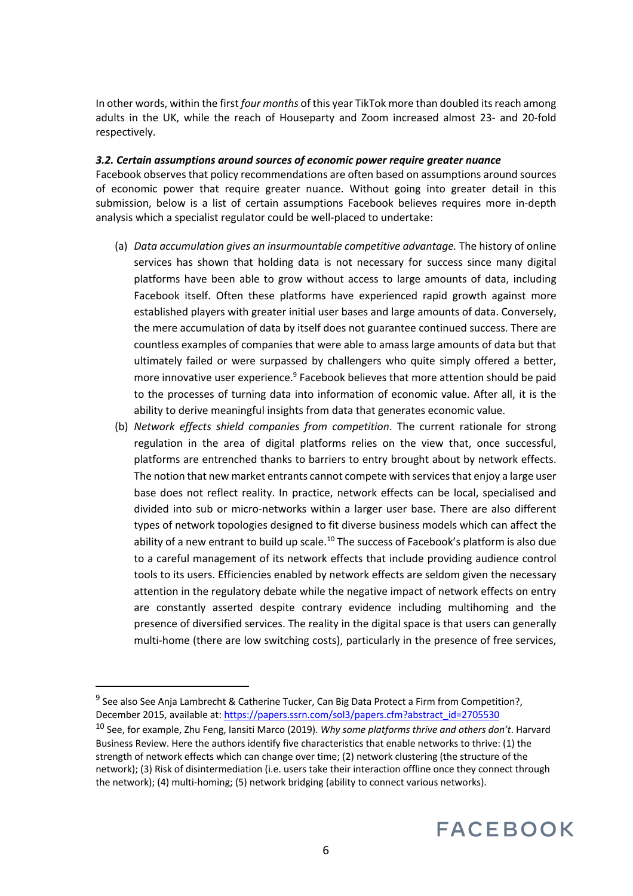In other words, within the first *four months* of this year TikTok more than doubled its reach among adults in the UK, while the reach of Houseparty and Zoom increased almost 23- and 20-fold respectively.

### *3.2. Certain assumptions around sources of economic power require greater nuance*

Facebook observes that policy recommendations are often based on assumptions around sources of economic power that require greater nuance. Without going into greater detail in this submission, below is a list of certain assumptions Facebook believes requires more in-depth analysis which a specialist regulator could be well-placed to undertake:

- (a) *Data accumulation gives an insurmountable competitive advantage.* The history of online services has shown that holding data is not necessary for success since many digital platforms have been able to grow without access to large amounts of data, including Facebook itself. Often these platforms have experienced rapid growth against more established players with greater initial user bases and large amounts of data. Conversely, the mere accumulation of data by itself does not guarantee continued success. There are countless examples of companies that were able to amass large amounts of data but that ultimately failed or were surpassed by challengers who quite simply offered a better, more innovative user experience.<sup>9</sup> Facebook believes that more attention should be paid to the processes of turning data into information of economic value. After all, it is the ability to derive meaningful insights from data that generates economic value.
- (b) *Network effects shield companies from competition*. The current rationale for strong regulation in the area of digital platforms relies on the view that, once successful, platforms are entrenched thanks to barriers to entry brought about by network effects. The notion that new market entrants cannot compete with services that enjoy a large user base does not reflect reality. In practice, network effects can be local, specialised and divided into sub or micro-networks within a larger user base. There are also different types of network topologies designed to fit diverse business models which can affect the ability of a new entrant to build up scale.<sup>10</sup> The success of Facebook's platform is also due to a careful management of its network effects that include providing audience control tools to its users. Efficiencies enabled by network effects are seldom given the necessary attention in the regulatory debate while the negative impact of network effects on entry are constantly asserted despite contrary evidence including multihoming and the presence of diversified services. The reality in the digital space is that users can generally multi-home (there are low switching costs), particularly in the presence of free services,

<sup>&</sup>lt;sup>9</sup> See also See Anja Lambrecht & Catherine Tucker, Can Big Data Protect a Firm from Competition?, December 2015, available at: https://papers.ssrn.com/sol3/papers.cfm?abstract\_id=2705530

<sup>10</sup> See, for example, Zhu Feng, Iansiti Marco (2019). *Why some platforms thrive and others don't*. Harvard Business Review. Here the authors identify five characteristics that enable networks to thrive: (1) the strength of network effects which can change over time; (2) network clustering (the structure of the network); (3) Risk of disintermediation (i.e. users take their interaction offline once they connect through the network); (4) multi-homing; (5) network bridging (ability to connect various networks).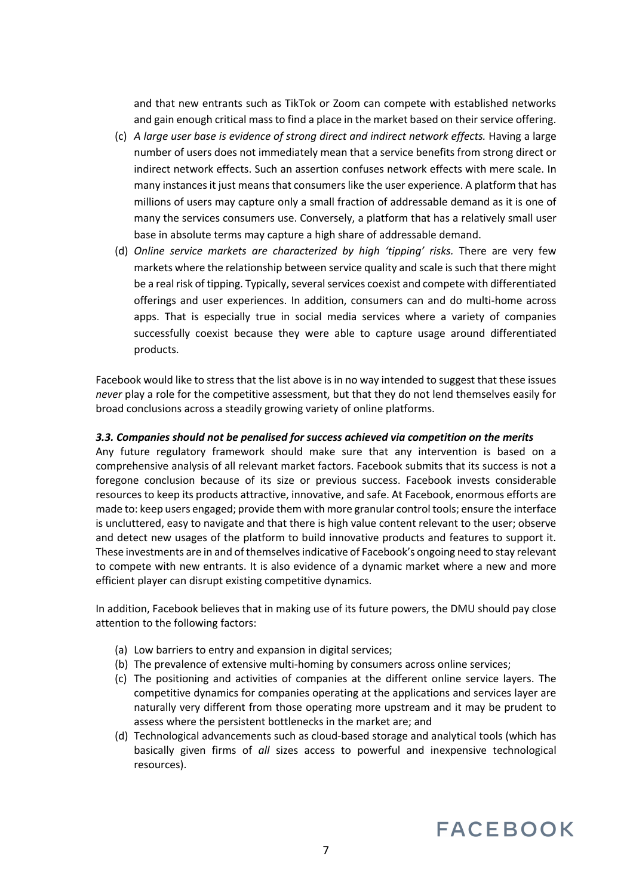and that new entrants such as TikTok or Zoom can compete with established networks and gain enough critical mass to find a place in the market based on their service offering.

- (c) *A large user base is evidence of strong direct and indirect network effects.* Having a large number of users does not immediately mean that a service benefits from strong direct or indirect network effects. Such an assertion confuses network effects with mere scale. In many instances it just means that consumers like the user experience. A platform that has millions of users may capture only a small fraction of addressable demand as it is one of many the services consumers use. Conversely, a platform that has a relatively small user base in absolute terms may capture a high share of addressable demand.
- (d) *Online service markets are characterized by high 'tipping' risks.* There are very few markets where the relationship between service quality and scale is such that there might be a real risk of tipping. Typically, several services coexist and compete with differentiated offerings and user experiences. In addition, consumers can and do multi-home across apps. That is especially true in social media services where a variety of companies successfully coexist because they were able to capture usage around differentiated products.

Facebook would like to stress that the list above is in no way intended to suggest that these issues *never* play a role for the competitive assessment, but that they do not lend themselves easily for broad conclusions across a steadily growing variety of online platforms.

#### *3.3. Companies should not be penalised for success achieved via competition on the merits*

Any future regulatory framework should make sure that any intervention is based on a comprehensive analysis of all relevant market factors. Facebook submits that its success is not a foregone conclusion because of its size or previous success. Facebook invests considerable resources to keep its products attractive, innovative, and safe. At Facebook, enormous efforts are made to: keep users engaged; provide them with more granular control tools; ensure the interface is uncluttered, easy to navigate and that there is high value content relevant to the user; observe and detect new usages of the platform to build innovative products and features to support it. These investments are in and of themselves indicative of Facebook's ongoing need to stay relevant to compete with new entrants. It is also evidence of a dynamic market where a new and more efficient player can disrupt existing competitive dynamics.

In addition, Facebook believes that in making use of its future powers, the DMU should pay close attention to the following factors:

- (a) Low barriers to entry and expansion in digital services;
- (b) The prevalence of extensive multi-homing by consumers across online services;
- (c) The positioning and activities of companies at the different online service layers. The competitive dynamics for companies operating at the applications and services layer are naturally very different from those operating more upstream and it may be prudent to assess where the persistent bottlenecks in the market are; and
- (d) Technological advancements such as cloud-based storage and analytical tools (which has basically given firms of *all* sizes access to powerful and inexpensive technological resources).

# **FACEBOOK**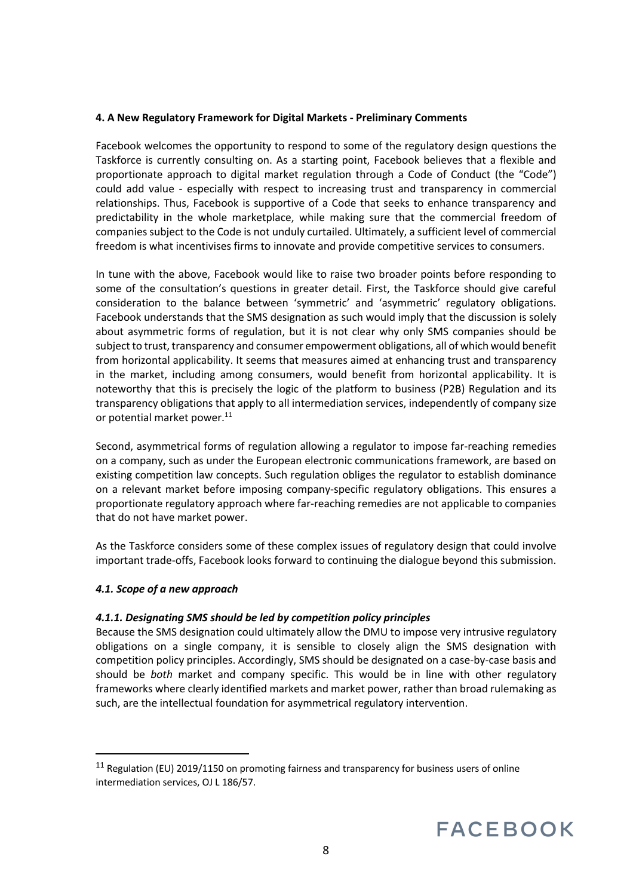### **4. A New Regulatory Framework for Digital Markets - Preliminary Comments**

Facebook welcomes the opportunity to respond to some of the regulatory design questions the Taskforce is currently consulting on. As a starting point, Facebook believes that a flexible and proportionate approach to digital market regulation through a Code of Conduct (the "Code") could add value - especially with respect to increasing trust and transparency in commercial relationships. Thus, Facebook is supportive of a Code that seeks to enhance transparency and predictability in the whole marketplace, while making sure that the commercial freedom of companies subject to the Code is not unduly curtailed. Ultimately, a sufficient level of commercial freedom is what incentivises firms to innovate and provide competitive services to consumers.

In tune with the above, Facebook would like to raise two broader points before responding to some of the consultation's questions in greater detail. First, the Taskforce should give careful consideration to the balance between 'symmetric' and 'asymmetric' regulatory obligations. Facebook understands that the SMS designation as such would imply that the discussion is solely about asymmetric forms of regulation, but it is not clear why only SMS companies should be subject to trust, transparency and consumer empowerment obligations, all of which would benefit from horizontal applicability. It seems that measures aimed at enhancing trust and transparency in the market, including among consumers, would benefit from horizontal applicability. It is noteworthy that this is precisely the logic of the platform to business (P2B) Regulation and its transparency obligations that apply to all intermediation services, independently of company size or potential market power.<sup>11</sup>

Second, asymmetrical forms of regulation allowing a regulator to impose far-reaching remedies on a company, such as under the European electronic communications framework, are based on existing competition law concepts. Such regulation obliges the regulator to establish dominance on a relevant market before imposing company-specific regulatory obligations. This ensures a proportionate regulatory approach where far-reaching remedies are not applicable to companies that do not have market power.

As the Taskforce considers some of these complex issues of regulatory design that could involve important trade-offs, Facebook looks forward to continuing the dialogue beyond this submission.

#### *4.1. Scope of a new approach*

# *4.1.1. Designating SMS should be led by competition policy principles*

Because the SMS designation could ultimately allow the DMU to impose very intrusive regulatory obligations on a single company, it is sensible to closely align the SMS designation with competition policy principles. Accordingly, SMS should be designated on a case-by-case basis and should be *both* market and company specific. This would be in line with other regulatory frameworks where clearly identified markets and market power, rather than broad rulemaking as such, are the intellectual foundation for asymmetrical regulatory intervention.

 $11$  Regulation (EU) 2019/1150 on promoting fairness and transparency for business users of online intermediation services, OJ L 186/57.

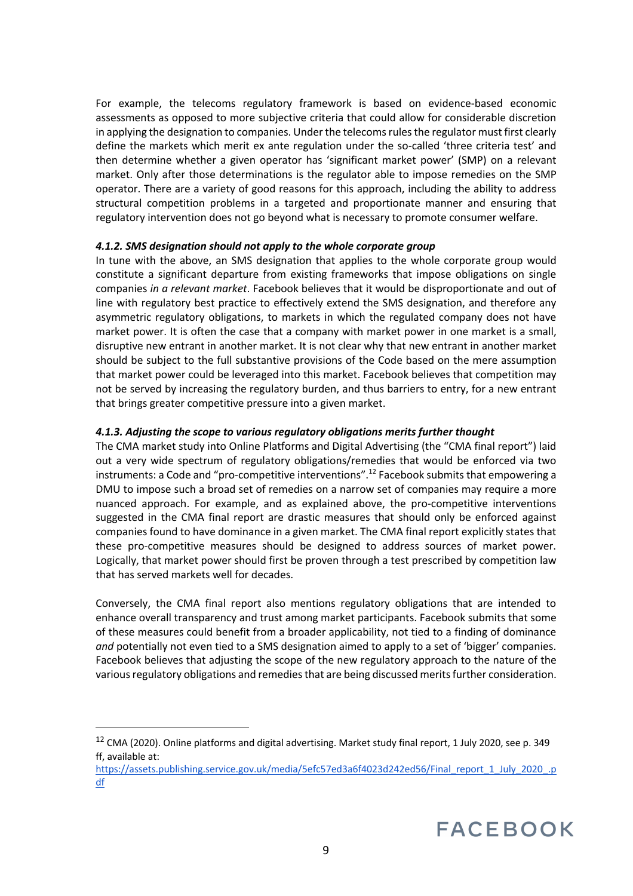For example, the telecoms regulatory framework is based on evidence-based economic assessments as opposed to more subjective criteria that could allow for considerable discretion in applying the designation to companies. Under the telecoms rules the regulator must first clearly define the markets which merit ex ante regulation under the so-called 'three criteria test' and then determine whether a given operator has 'significant market power' (SMP) on a relevant market. Only after those determinations is the regulator able to impose remedies on the SMP operator. There are a variety of good reasons for this approach, including the ability to address structural competition problems in a targeted and proportionate manner and ensuring that regulatory intervention does not go beyond what is necessary to promote consumer welfare.

#### *4.1.2. SMS designation should not apply to the whole corporate group*

In tune with the above, an SMS designation that applies to the whole corporate group would constitute a significant departure from existing frameworks that impose obligations on single companies *in a relevant market*. Facebook believes that it would be disproportionate and out of line with regulatory best practice to effectively extend the SMS designation, and therefore any asymmetric regulatory obligations, to markets in which the regulated company does not have market power. It is often the case that a company with market power in one market is a small, disruptive new entrant in another market. It is not clear why that new entrant in another market should be subject to the full substantive provisions of the Code based on the mere assumption that market power could be leveraged into this market. Facebook believes that competition may not be served by increasing the regulatory burden, and thus barriers to entry, for a new entrant that brings greater competitive pressure into a given market.

#### *4.1.3. Adjusting the scope to various regulatory obligations merits further thought*

The CMA market study into Online Platforms and Digital Advertising (the "CMA final report") laid out a very wide spectrum of regulatory obligations/remedies that would be enforced via two instruments: a Code and "pro-competitive interventions".<sup>12</sup> Facebook submits that empowering a DMU to impose such a broad set of remedies on a narrow set of companies may require a more nuanced approach. For example, and as explained above, the pro-competitive interventions suggested in the CMA final report are drastic measures that should only be enforced against companies found to have dominance in a given market. The CMA final report explicitly states that these pro-competitive measures should be designed to address sources of market power. Logically, that market power should first be proven through a test prescribed by competition law that has served markets well for decades.

Conversely, the CMA final report also mentions regulatory obligations that are intended to enhance overall transparency and trust among market participants. Facebook submits that some of these measures could benefit from a broader applicability, not tied to a finding of dominance *and* potentially not even tied to a SMS designation aimed to apply to a set of 'bigger' companies. Facebook believes that adjusting the scope of the new regulatory approach to the nature of the various regulatory obligations and remedies that are being discussed merits further consideration.

<sup>&</sup>lt;sup>12</sup> CMA (2020). Online platforms and digital advertising. Market study final report, 1 July 2020, see p. 349 ff, available at:

https://assets.publishing.service.gov.uk/media/5efc57ed3a6f4023d242ed56/Final\_report\_1\_July\_2020\_.p df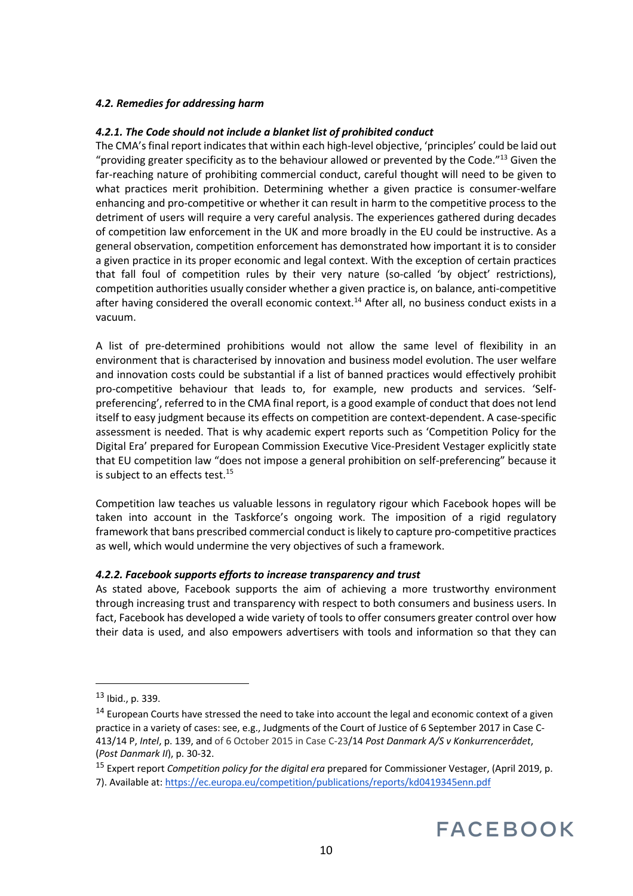## *4.2. Remedies for addressing harm*

### *4.2.1. The Code should not include a blanket list of prohibited conduct*

The CMA's final report indicates that within each high-level objective, 'principles' could be laid out "providing greater specificity as to the behaviour allowed or prevented by the Code."<sup>13</sup> Given the far-reaching nature of prohibiting commercial conduct, careful thought will need to be given to what practices merit prohibition. Determining whether a given practice is consumer-welfare enhancing and pro-competitive or whether it can result in harm to the competitive process to the detriment of users will require a very careful analysis. The experiences gathered during decades of competition law enforcement in the UK and more broadly in the EU could be instructive. As a general observation, competition enforcement has demonstrated how important it is to consider a given practice in its proper economic and legal context. With the exception of certain practices that fall foul of competition rules by their very nature (so-called 'by object' restrictions), competition authorities usually consider whether a given practice is, on balance, anti-competitive after having considered the overall economic context.<sup>14</sup> After all, no business conduct exists in a vacuum.

A list of pre-determined prohibitions would not allow the same level of flexibility in an environment that is characterised by innovation and business model evolution. The user welfare and innovation costs could be substantial if a list of banned practices would effectively prohibit pro-competitive behaviour that leads to, for example, new products and services. 'Selfpreferencing', referred to in the CMA final report, is a good example of conduct that does not lend itself to easy judgment because its effects on competition are context-dependent. A case-specific assessment is needed. That is why academic expert reports such as 'Competition Policy for the Digital Era' prepared for European Commission Executive Vice-President Vestager explicitly state that EU competition law "does not impose a general prohibition on self-preferencing" because it is subject to an effects test.<sup>15</sup>

Competition law teaches us valuable lessons in regulatory rigour which Facebook hopes will be taken into account in the Taskforce's ongoing work. The imposition of a rigid regulatory framework that bans prescribed commercial conduct is likely to capture pro-competitive practices as well, which would undermine the very objectives of such a framework.

#### *4.2.2. Facebook supports efforts to increase transparency and trust*

As stated above, Facebook supports the aim of achieving a more trustworthy environment through increasing trust and transparency with respect to both consumers and business users. In fact, Facebook has developed a wide variety of tools to offer consumers greater control over how their data is used, and also empowers advertisers with tools and information so that they can

<sup>15</sup> Expert report *Competition policy for the digital era* prepared for Commissioner Vestager, (April 2019, p. 7). Available at: https://ec.europa.eu/competition/publications/reports/kd0419345enn.pdf



 $13$  Ibid., p. 339.

<sup>&</sup>lt;sup>14</sup> European Courts have stressed the need to take into account the legal and economic context of a given practice in a variety of cases: see, e.g., Judgments of the Court of Justice of 6 September 2017 in Case C-413/14 P, *Intel*, p. 139, and of 6 October 2015 in Case C-23/14 *Post Danmark A/S v Konkurrencerådet*, (*Post Danmark II*), p. 30-32.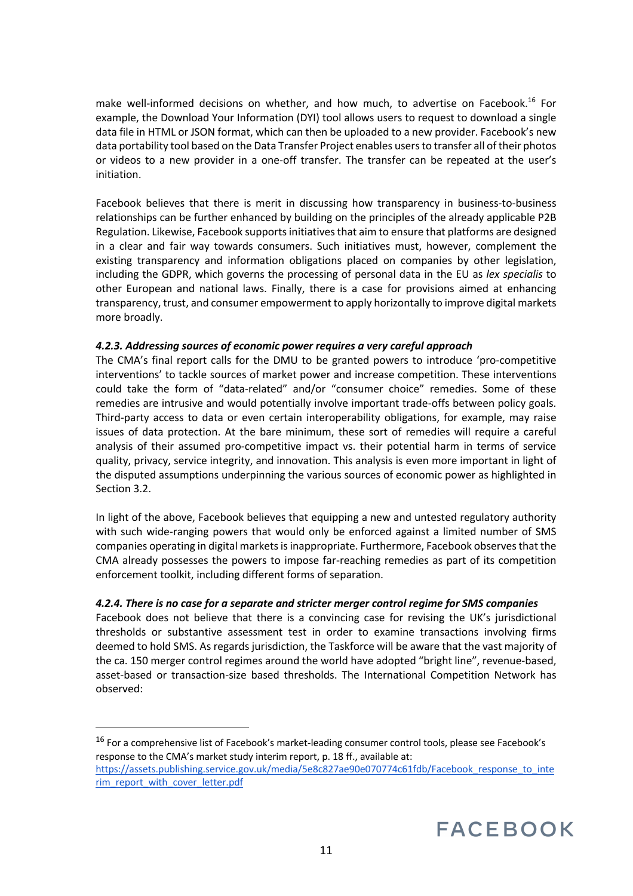make well-informed decisions on whether, and how much, to advertise on Facebook.<sup>16</sup> For example, the Download Your Information (DYI) tool allows users to request to download a single data file in HTML or JSON format, which can then be uploaded to a new provider. Facebook's new data portability tool based on the Data Transfer Project enables users to transfer all of their photos or videos to a new provider in a one-off transfer. The transfer can be repeated at the user's initiation.

Facebook believes that there is merit in discussing how transparency in business-to-business relationships can be further enhanced by building on the principles of the already applicable P2B Regulation. Likewise, Facebook supports initiatives that aim to ensure that platforms are designed in a clear and fair way towards consumers. Such initiatives must, however, complement the existing transparency and information obligations placed on companies by other legislation, including the GDPR, which governs the processing of personal data in the EU as *lex specialis* to other European and national laws. Finally, there is a case for provisions aimed at enhancing transparency, trust, and consumer empowerment to apply horizontally to improve digital markets more broadly.

## *4.2.3. Addressing sources of economic power requires a very careful approach*

The CMA's final report calls for the DMU to be granted powers to introduce 'pro-competitive interventions' to tackle sources of market power and increase competition. These interventions could take the form of "data-related" and/or "consumer choice" remedies. Some of these remedies are intrusive and would potentially involve important trade-offs between policy goals. Third-party access to data or even certain interoperability obligations, for example, may raise issues of data protection. At the bare minimum, these sort of remedies will require a careful analysis of their assumed pro-competitive impact vs. their potential harm in terms of service quality, privacy, service integrity, and innovation. This analysis is even more important in light of the disputed assumptions underpinning the various sources of economic power as highlighted in Section 3.2.

In light of the above, Facebook believes that equipping a new and untested regulatory authority with such wide-ranging powers that would only be enforced against a limited number of SMS companies operating in digital markets is inappropriate. Furthermore, Facebook observes that the CMA already possesses the powers to impose far-reaching remedies as part of its competition enforcement toolkit, including different forms of separation.

# *4.2.4. There is no case for a separate and stricter merger control regime for SMS companies*

Facebook does not believe that there is a convincing case for revising the UK's jurisdictional thresholds or substantive assessment test in order to examine transactions involving firms deemed to hold SMS. As regards jurisdiction, the Taskforce will be aware that the vast majority of the ca. 150 merger control regimes around the world have adopted "bright line", revenue-based, asset-based or transaction-size based thresholds. The International Competition Network has observed:

<sup>16</sup> For a comprehensive list of Facebook's market-leading consumer control tools, please see Facebook's response to the CMA's market study interim report, p. 18 ff., available at: https://assets.publishing.service.gov.uk/media/5e8c827ae90e070774c61fdb/Facebook response to inte rim\_report\_with\_cover\_letter.pdf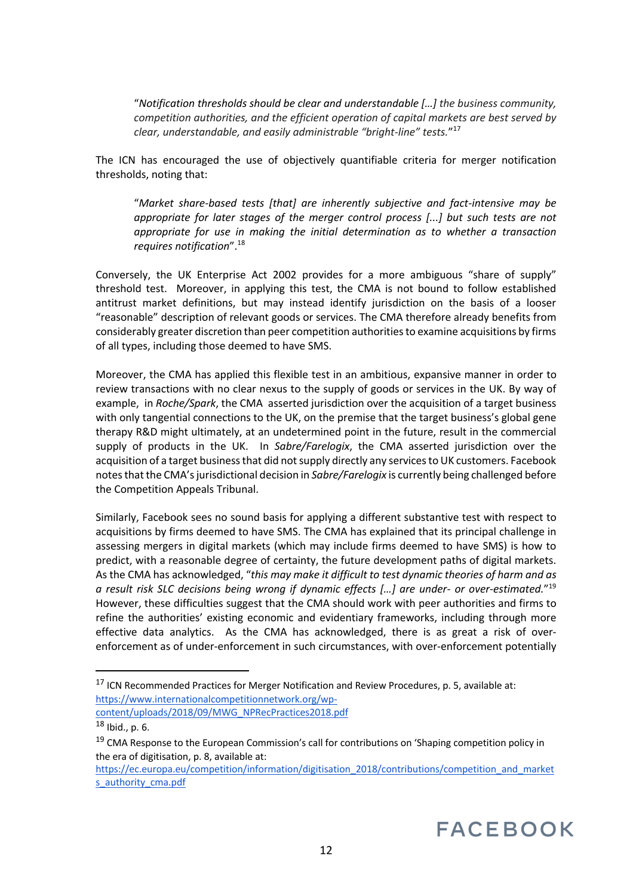"*Notification thresholds should be clear and understandable […] the business community, competition authorities, and the efficient operation of capital markets are best served by clear, understandable, and easily administrable "bright-line" tests.*"<sup>17</sup>

The ICN has encouraged the use of objectively quantifiable criteria for merger notification thresholds, noting that:

"*Market share-based tests [that] are inherently subjective and fact-intensive may be appropriate for later stages of the merger control process [...] but such tests are not appropriate for use in making the initial determination as to whether a transaction requires notification*".<sup>18</sup>

Conversely, the UK Enterprise Act 2002 provides for a more ambiguous "share of supply" threshold test. Moreover, in applying this test, the CMA is not bound to follow established antitrust market definitions, but may instead identify jurisdiction on the basis of a looser "reasonable" description of relevant goods or services. The CMA therefore already benefits from considerably greater discretion than peer competition authorities to examine acquisitions by firms of all types, including those deemed to have SMS.

Moreover, the CMA has applied this flexible test in an ambitious, expansive manner in order to review transactions with no clear nexus to the supply of goods or services in the UK. By way of example, in *Roche/Spark*, the CMA asserted jurisdiction over the acquisition of a target business with only tangential connections to the UK, on the premise that the target business's global gene therapy R&D might ultimately, at an undetermined point in the future, result in the commercial supply of products in the UK. In *Sabre/Farelogix*, the CMA asserted jurisdiction over the acquisition of a target business that did not supply directly any services to UK customers. Facebook notes that the CMA's jurisdictional decision in *Sabre/Farelogix* is currently being challenged before the Competition Appeals Tribunal.

Similarly, Facebook sees no sound basis for applying a different substantive test with respect to acquisitions by firms deemed to have SMS. The CMA has explained that its principal challenge in assessing mergers in digital markets (which may include firms deemed to have SMS) is how to predict, with a reasonable degree of certainty, the future development paths of digital markets. As the CMA has acknowledged, "*this may make it difficult to test dynamic theories of harm and as a result risk SLC decisions being wrong if dynamic effects […] are under- or over-estimated.*"<sup>19</sup> However, these difficulties suggest that the CMA should work with peer authorities and firms to refine the authorities' existing economic and evidentiary frameworks, including through more effective data analytics. As the CMA has acknowledged, there is as great a risk of overenforcement as of under-enforcement in such circumstances, with over-enforcement potentially

<sup>17</sup> ICN Recommended Practices for Merger Notification and Review Procedures, p. 5, available at: https://www.internationalcompetitionnetwork.org/wpcontent/uploads/2018/09/MWG\_NPRecPractices2018.pdf

 $18$  Ibid., p. 6.

<sup>&</sup>lt;sup>19</sup> CMA Response to the European Commission's call for contributions on 'Shaping competition policy in the era of digitisation, p. 8, available at:

https://ec.europa.eu/competition/information/digitisation\_2018/contributions/competition\_and\_market s authority cma.pdf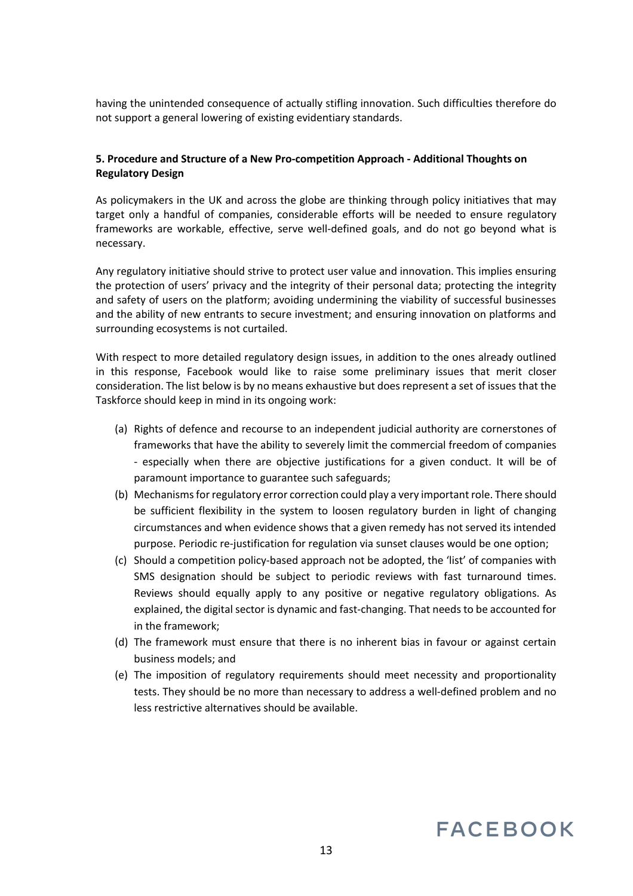having the unintended consequence of actually stifling innovation. Such difficulties therefore do not support a general lowering of existing evidentiary standards.

## **5. Procedure and Structure of a New Pro-competition Approach - Additional Thoughts on Regulatory Design**

As policymakers in the UK and across the globe are thinking through policy initiatives that may target only a handful of companies, considerable efforts will be needed to ensure regulatory frameworks are workable, effective, serve well-defined goals, and do not go beyond what is necessary.

Any regulatory initiative should strive to protect user value and innovation. This implies ensuring the protection of users' privacy and the integrity of their personal data; protecting the integrity and safety of users on the platform; avoiding undermining the viability of successful businesses and the ability of new entrants to secure investment; and ensuring innovation on platforms and surrounding ecosystems is not curtailed.

With respect to more detailed regulatory design issues, in addition to the ones already outlined in this response, Facebook would like to raise some preliminary issues that merit closer consideration. The list below is by no means exhaustive but does represent a set of issues that the Taskforce should keep in mind in its ongoing work:

- (a) Rights of defence and recourse to an independent judicial authority are cornerstones of frameworks that have the ability to severely limit the commercial freedom of companies - especially when there are objective justifications for a given conduct. It will be of paramount importance to guarantee such safeguards;
- (b) Mechanisms for regulatory error correction could play a very important role. There should be sufficient flexibility in the system to loosen regulatory burden in light of changing circumstances and when evidence shows that a given remedy has not served its intended purpose. Periodic re-justification for regulation via sunset clauses would be one option;
- (c) Should a competition policy-based approach not be adopted, the 'list' of companies with SMS designation should be subject to periodic reviews with fast turnaround times. Reviews should equally apply to any positive or negative regulatory obligations. As explained, the digital sector is dynamic and fast-changing. That needs to be accounted for in the framework;
- (d) The framework must ensure that there is no inherent bias in favour or against certain business models; and
- (e) The imposition of regulatory requirements should meet necessity and proportionality tests. They should be no more than necessary to address a well-defined problem and no less restrictive alternatives should be available.